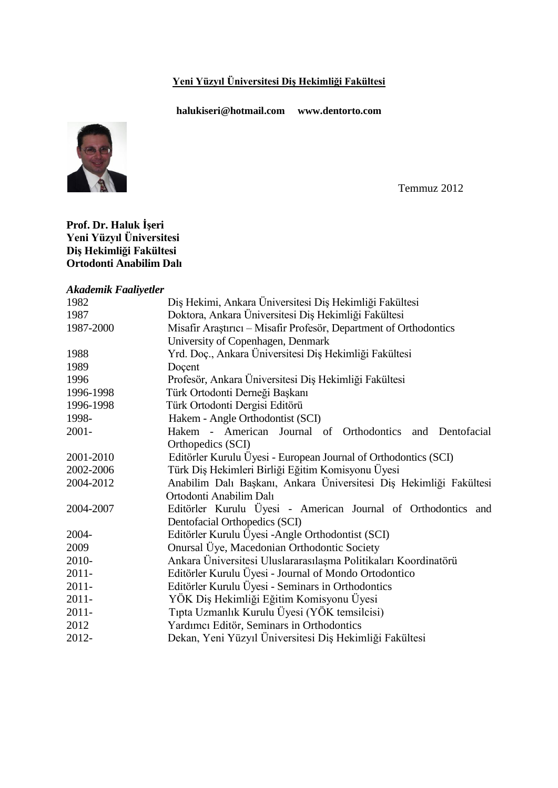# **Yeni Yüzyıl Üniversitesi Diş Hekimliği Fakültesi**

**halu[kiseri@hotmail.com](mailto:iseri@hotmail.com) www.dentorto.com**



Temmuz 2012

#### **Prof. Dr. Haluk İşeri Yeni Yüzyıl Üniversitesi Diş Hekimliği Fakültesi Ortodonti Anabilim Dalı**

#### *Akademik Faaliyetler*

| 1982      | Diş Hekimi, Ankara Üniversitesi Diş Hekimliği Fakültesi            |
|-----------|--------------------------------------------------------------------|
| 1987      | Doktora, Ankara Üniversitesi Diş Hekimliği Fakültesi               |
| 1987-2000 | Misafir Araştırıcı – Misafir Profesör, Department of Orthodontics  |
|           | University of Copenhagen, Denmark                                  |
| 1988      | Yrd. Doç., Ankara Üniversitesi Diş Hekimliği Fakültesi             |
| 1989      | Doçent                                                             |
| 1996      | Profesör, Ankara Üniversitesi Diş Hekimliği Fakültesi              |
| 1996-1998 | Türk Ortodonti Derneği Başkanı                                     |
| 1996-1998 | Türk Ortodonti Dergisi Editörü                                     |
| 1998-     | Hakem - Angle Orthodontist (SCI)                                   |
| $2001 -$  | Hakem - American Journal of Orthodontics and Dentofacial           |
|           | Orthopedics (SCI)                                                  |
| 2001-2010 | Editörler Kurulu Üyesi - European Journal of Orthodontics (SCI)    |
| 2002-2006 | Türk Diş Hekimleri Birliği Eğitim Komisyonu Üyesi                  |
| 2004-2012 | Anabilim Dalı Başkanı, Ankara Üniversitesi Diş Hekimliği Fakültesi |
|           | Ortodonti Anabilim Dalı                                            |
| 2004-2007 | Editörler Kurulu Üyesi - American Journal of Orthodontics and      |
|           | Dentofacial Orthopedics (SCI)                                      |
| 2004-     | Editörler Kurulu Üyesi - Angle Orthodontist (SCI)                  |
| 2009      | Onursal Üye, Macedonian Orthodontic Society                        |
| 2010-     | Ankara Üniversitesi Uluslararasılaşma Politikaları Koordinatörü    |
| $2011 -$  | Editörler Kurulu Üyesi - Journal of Mondo Ortodontico              |
| $2011 -$  | Editörler Kurulu Üyesi - Seminars in Orthodontics                  |
| $2011 -$  | YÖK Diş Hekimliği Eğitim Komisyonu Üyesi                           |
| $2011 -$  | Tipta Uzmanlık Kurulu Üyesi (YÖK temsilcisi)                       |
| 2012      | Yardımcı Editör, Seminars in Orthodontics                          |
| 2012-     | Dekan, Yeni Yüzyıl Üniversitesi Diş Hekimliği Fakültesi            |
|           |                                                                    |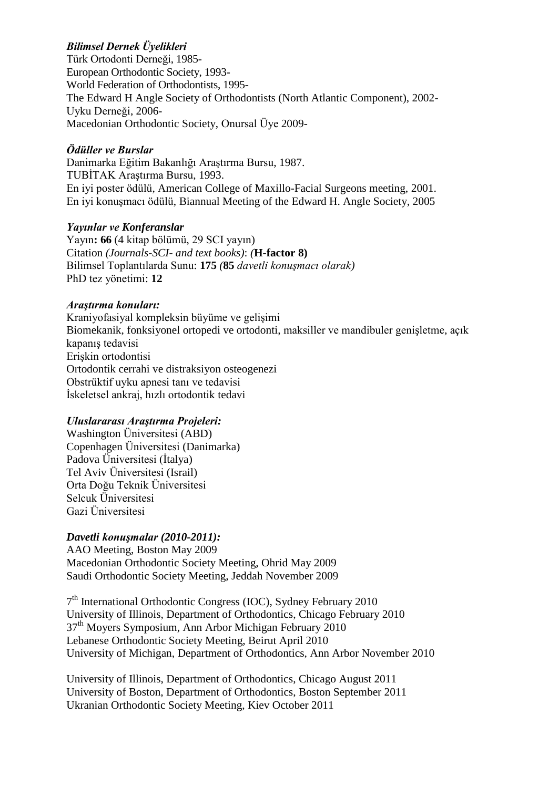# *Bilimsel Dernek Üyelikleri*

Türk Ortodonti Derneği, 1985- European Orthodontic Society, 1993- World Federation of Orthodontists, 1995- The Edward H Angle Society of Orthodontists (North Atlantic Component), 2002- Uyku Derneği, 2006- Macedonian Orthodontic Society, Onursal Üye 2009-

#### *Ödüller ve Burslar*

Danimarka Eğitim Bakanlığı Araştırma Bursu, 1987. TUBİTAK Araştırma Bursu, 1993. En iyi poster ödülü, American College of Maxillo-Facial Surgeons meeting, 2001. En iyi konuşmacı ödülü, Biannual Meeting of the Edward H. Angle Society, 2005

#### *Yayınlar ve Konferanslar*

Yayın**: 66** (4 kitap bölümü, 29 SCI yayın) Citation *(Journals-SCI- and text books)*: *(***H-factor 8)** Bilimsel Toplantılarda Sunu: **175** *(***85** *davetli konuşmacı olarak)* PhD tez yönetimi: **12**

#### *Araştırma konuları:*

Kraniyofasiyal kompleksin büyüme ve gelişimi Biomekanik, fonksiyonel ortopedi ve ortodonti, maksiller ve mandibuler genişletme, açık kapanış tedavisi Erişkin ortodontisi Ortodontik cerrahi ve distraksiyon osteogenezi Obstrüktif uyku apnesi tanı ve tedavisi İskeletsel ankraj, hızlı ortodontik tedavi

## *Uluslararası Araştırma Projeleri:*

Washington Üniversitesi (ABD) Copenhagen Üniversitesi (Danimarka) Padova Üniversitesi (İtalya) Tel Aviv Üniversitesi (Israil) Orta Doğu Teknik Üniversitesi Selcuk Üniversitesi Gazi Üniversitesi

## *Davetli konuşmalar (2010-2011):*

AAO Meeting, Boston May 2009 Macedonian Orthodontic Society Meeting, Ohrid May 2009 Saudi Orthodontic Society Meeting, Jeddah November 2009

7<sup>th</sup> International Orthodontic Congress (IOC), Sydney February 2010 University of Illinois, Department of Orthodontics, Chicago February 2010 37<sup>th</sup> Moyers Symposium, Ann Arbor Michigan February 2010 Lebanese Orthodontic Society Meeting, Beirut April 2010 University of Michigan, Department of Orthodontics, Ann Arbor November 2010

University of Illinois, Department of Orthodontics, Chicago August 2011 University of Boston, Department of Orthodontics, Boston September 2011 Ukranian Orthodontic Society Meeting, Kiev October 2011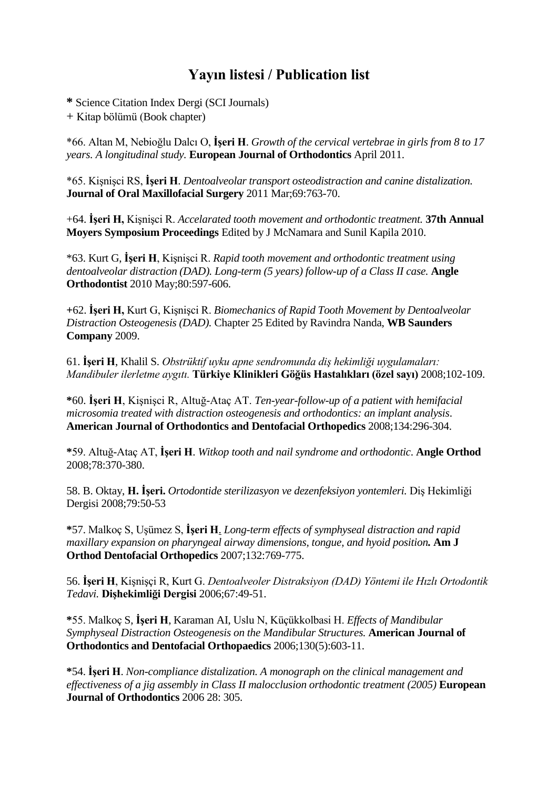# **Yayın listesi / Publication list**

**\*** Science Citation Index Dergi (SCI Journals)

+ Kitap bölümü (Book chapter)

\*66. Altan M, Nebioğlu Dalcı O, **İşeri H**. *[Growth of the cervical vertebrae in girls from 8 to 17](http://www.ncbi.nlm.nih.gov/pubmed/21511819)  [years. A longitudinal study.](http://www.ncbi.nlm.nih.gov/pubmed/21511819)* **European Journal of Orthodontics** April 2011.

\*65. Kişnişci RS, **İşeri H**. *[Dentoalveolar transport osteodistraction and canine distalization.](http://www.ncbi.nlm.nih.gov/pubmed/21353933)* **Journal of Oral Maxillofacial Surgery** 2011 Mar;69:763-70.

+64. **İşeri H,** Kişnişci R. *Accelarated tooth movement and orthodontic treatment.* **37th Annual Moyers Symposium Proceedings** Edited by J McNamara and Sunil Kapila 2010.

\*63. Kurt G, **İşeri H**, Kişnişci R. *[Rapid tooth movement and orthodontic treatment using](http://www.ncbi.nlm.nih.gov/pubmed/20050758)  [dentoalveolar distraction \(DAD\). Long-term \(5 years\) follow-up of a Class II case.](http://www.ncbi.nlm.nih.gov/pubmed/20050758)* **Angle Orthodontist** 2010 May;80:597-606.

**+**62. **İşeri H,** Kurt G, Kişnişci R. *Biomechanics of Rapid Tooth Movement by Dentoalveolar Distraction Osteogenesis (DAD).* Chapter 25 Edited by Ravindra Nanda, **WB Saunders Company** 2009.

61. **İşeri H**, Khalil S. *Obstrüktif uyku apne sendromunda diş hekimliği uygulamaları: Mandibuler ilerletme aygıtı.* **Türkiye Klinikleri Göğüs Hastalıkları (özel sayı)** 2008;102-109.

**\***60. **İşeri H**, Kişnişci R, Altuğ-Ataç AT. *Ten-year-follow-up of a patient with hemifacial microsomia treated with distraction osteogenesis and orthodontics: an implant analysis*. **American Journal of Orthodontics and Dentofacial Orthopedics** 2008;134:296-304.

**\***59. Altuğ-Ataç AT, **İşeri H**. *Witkop tooth and nail syndrome and orthodontic*. **Angle Orthod** 2008;78:370-380.

58. B. Oktay, **H. İşeri.** *Ortodontide sterilizasyon ve dezenfeksiyon yontemleri.* Diş Hekimliği Dergisi 2008;79:50-53

**\***57. [Malkoç S, Uşümez S,](http://www.ncbi.nlm.nih.gov/pubmed/18068595?ordinalpos=1&itool=EntrezSystem2.PEntrez.Pubmed.Pubmed_ResultsPanel.Pubmed_RVDocSum) **İşeri H**. *Long-term effects of symphyseal distraction and rapid maxillary expansion on pharyngeal airway dimensions, tongue, and hyoid position.* **Am J Orthod Dentofacial Orthopedics** 2007;132:769-775.

56. **İşeri H**, Kişnişçi R, Kurt G. *Dentoalveoler Distraksiyon (DAD) Yöntemi ile Hızlı Ortodontik Tedavi.* **Dişhekimliği Dergisi** 2006;67:49-51.

**\***55. Malkoç S, **İşeri H**, Karaman AI, Uslu N, Küçükkolbasi H. *Effects of Mandibular Symphyseal Distraction Osteogenesis on the Mandibular Structures.* **American Journal of Orthodontics and Dentofacial Orthopaedics** 2006;130(5):603-11.

**\***54. **İşeri H**. *Non-compliance distalization. A monograph on the clinical management and effectiveness of a jig assembly in Class II malocclusion orthodontic treatment (2005)* **European Journal of Orthodontics** 2006 28: 305.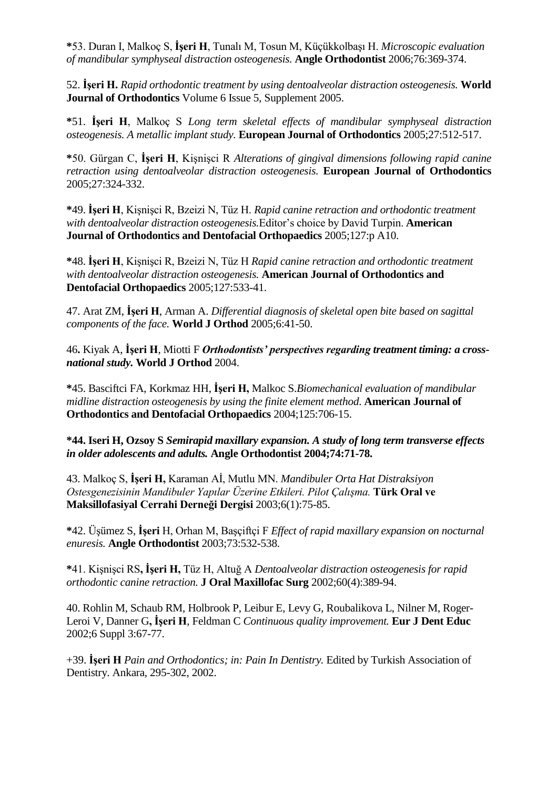**\***53. Duran I, Malkoç S, **İşeri H**, Tunalı M, Tosun M, Küçükkolbaşı H. *Microscopic evaluation of mandibular symphyseal distraction osteogenesis.* **Angle Orthodontist** 2006;76:369-374.

52. **İşeri H.** *Rapid orthodontic treatment by using dentoalveolar distraction osteogenesis.* **World Journal of Orthodontics** Volume 6 Issue 5, Supplement 2005.

**\***51. **İşeri H**, Malkoç S *Long term skeletal effects of mandibular symphyseal distraction osteogenesis. A metallic implant study.* **European Journal of Orthodontics** 2005;27:512-517.

**\***50. Gürgan C, **İşeri H**, Kişnişci R *Alterations of gingival dimensions following rapid canine retraction using dentoalveolar distraction osteogenesis.* **European Journal of Orthodontics**  2005;27:324-332.

**\***49. **İşeri H**, Kişnişci R, Bzeizi N, Tüz H. *Rapid canine retraction and orthodontic treatment with dentoalveolar distraction osteogenesis.*Editor's choice by David Turpin. **American Journal of Orthodontics and Dentofacial Orthopaedics** 2005;127:p A10.

**\***48. **İşeri H**, Kişnişci R, Bzeizi N, Tüz H *Rapid canine retraction and orthodontic treatment with dentoalveolar distraction osteogenesis.* **American Journal of Orthodontics and Dentofacial Orthopaedics** 2005;127:533-41.

47. Arat ZM, **İşeri H**[, Arman A.](http://www.ncbi.nlm.nih.gov/entrez/query.fcgi?cmd=Retrieve&db=pubmed&dopt=Abstract&list_uids=15794041) *Differential diagnosis of skeletal open bite based on sagittal components of the face.* **World J Orthod** 2005;6:41-50.

46**.** Kiyak A, **İşeri H**, Miotti F *Orthodontists' perspectives regarding treatment timing: a crossnational study.* **World J Orthod** 2004.

**\***45. [Basciftci FA, Korkmaz HH,](http://www.ncbi.nlm.nih.gov/entrez/query.fcgi?cmd=Retrieve&db=pubmed&dopt=Abstract&list_uids=15179395) **İşeri H,** Malkoc S.*Biomechanical evaluation of mandibular midline distraction osteogenesis by using the finite element method*. **American Journal of Orthodontics and Dentofacial Orthopaedics** 2004;125:706-15.

**\*44. Iseri H, Ozsoy S** *Semirapid maxillary expansion. A study of long term transverse effects in older adolescents and adults.* **Angle Orthodontist 2004;74:71-78.**

43. Malkoç S, **İşeri H,** Karaman Aİ, Mutlu MN. *Mandibuler Orta Hat Distraksiyon Ostesgenezisinin Mandibuler Yapılar Üzerine Etkileri. Pilot Çalışma.* **Türk Oral ve Maksillofasiyal Cerrahi Derneği Dergisi** 2003;6(1):75-85.

**\***42. Üşümez S, **İşeri** H, Orhan M, Başçiftçi F *Effect of rapid maxillary expansion on nocturnal enuresis.* **Angle Orthodontist** 2003;73:532-538.

**\***41. Kişnişci RS**, İşeri H,** Tüz H, Altuğ A *Dentoalveolar distraction osteogenesis for rapid orthodontic canine retraction.* **J Oral Maxillofac Surg** 2002;60(4):389-94.

40. Rohlin M, Schaub RM, Holbrook P, Leibur E, Levy G, Roubalikova L, Nilner M, Roger-Leroi V, Danner G**, İşeri H**, Feldman C *Continuous quality improvement.* **Eur J Dent Educ** 2002;6 Suppl 3:67-77.

+39. **İşeri H** *Pain and Orthodontics; in: Pain In Dentistry.* Edited by Turkish Association of Dentistry. Ankara, 295-302, 2002.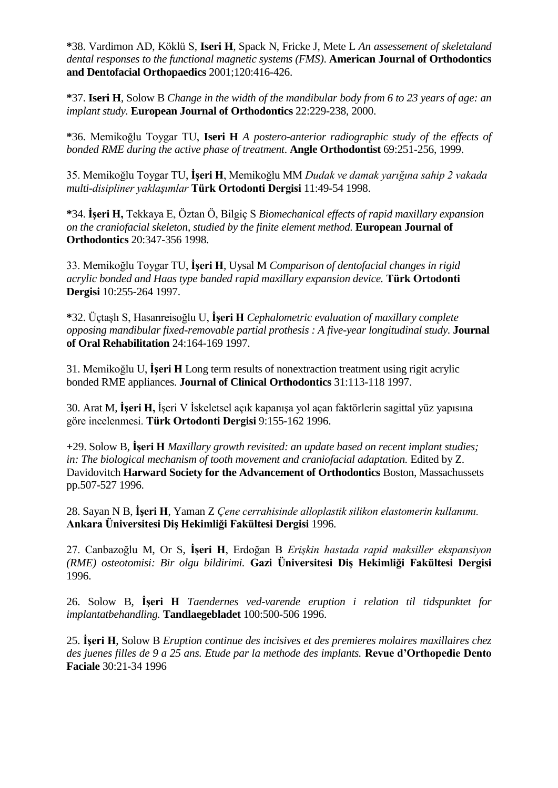**\***38. Vardimon AD, Köklü S, **Iseri H**, Spack N, Fricke J, Mete L *An assessement of skeletaland dental responses to the functional magnetic systems (FMS)*. **American Journal of Orthodontics and Dentofacial Orthopaedics** 2001;120:416-426.

**\***37. **Iseri H**, Solow B *Change in the width of the mandibular body from 6 to 23 years of age: an implant study.* **European Journal of Orthodontics** 22:229-238, 2000.

**\***36. Memikoğlu Toygar TU, **Iseri H** *A postero-anterior radiographic study of the effects of bonded RME during the active phase of treatment*. **Angle Orthodontist** 69:251-256, 1999.

35. Memikoğlu Toygar TU, **İşeri H**, Memikoğlu MM *Dudak ve damak yarığına sahip 2 vakada multi-disipliner yaklaşımlar* **Türk Ortodonti Dergisi** 11:49-54 1998.

**\***34. **İşeri H,** Tekkaya E, Öztan Ö, Bilgiç S *Biomechanical effects of rapid maxillary expansion on the craniofacial skeleton, studied by the finite element method.* **European Journal of Orthodontics** 20:347-356 1998.

33. Memikoğlu Toygar TU, **İşeri H**, Uysal M *Comparison of dentofacial changes in rigid acrylic bonded and Haas type banded rapid maxillary expansion device.* **Türk Ortodonti Dergisi** 10:255-264 1997.

**\***32. Üçtaşlı S, Hasanreisoğlu U, **İşeri H** *Cephalometric evaluation of maxillary complete opposing mandibular fixed-removable partial prothesis : A five-year longitudinal study.* **Journal of Oral Rehabilitation** 24:164-169 1997.

31. Memikoğlu U, **İşeri H** Long term results of nonextraction treatment using rigit acrylic bonded RME appliances. **Journal of Clinical Orthodontics** 31:113-118 1997.

30. Arat M, **İşeri H,** İşeri V İskeletsel açık kapanışa yol açan faktörlerin sagittal yüz yapısına göre incelenmesi. **Türk Ortodonti Dergisi** 9:155-162 1996.

**+**29. Solow B, **İşeri H** *Maxillary growth revisited: an update based on recent implant studies;*  in: The biological mechanism of tooth movement and craniofacial adaptation. Edited by Z. Davidovitch **Harward Society for the Advancement of Orthodontics** Boston, Massachussets pp.507-527 1996.

28. Sayan N B, **İşeri H**, Yaman Z *Çene cerrahisinde alloplastik silikon elastomerin kullanımı.* **Ankara Üniversitesi Diş Hekimliği Fakültesi Dergisi** 1996.

27. Canbazoğlu M, Or S, **İşeri H**, Erdoğan B *Erişkin hastada rapid maksiller ekspansiyon (RME) osteotomisi: Bir olgu bildirimi.* **Gazi Üniversitesi Diş Hekimliği Fakültesi Dergisi**  1996.

26. Solow B, **İşeri H** *Taendernes ved-varende eruption i relation til tidspunktet for implantatbehandling.* **Tandlaegebladet** 100:500-506 1996.

25. **İşeri H**, Solow B *Eruption continue des incisives et des premieres molaires maxillaires chez des juenes filles de 9 a 25 ans. Etude par la methode des implants.* **Revue d'Orthopedie Dento Faciale** 30:21-34 1996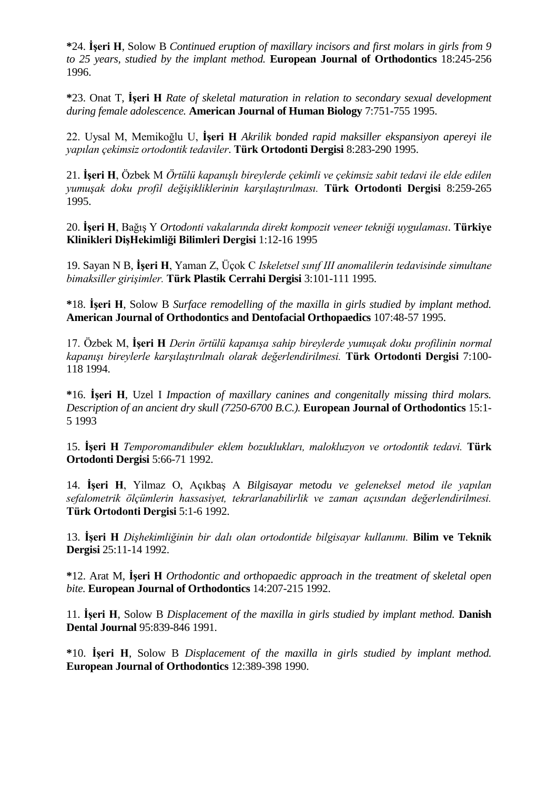**\***24. **İşeri H**, Solow B *Continued eruption of maxillary incisors and first molars in girls from 9 to 25 years, studied by the implant method.* **European Journal of Orthodontics** 18:245-256 1996.

**\***23. Onat T, **İşeri H** *Rate of skeletal maturation in relation to secondary sexual development during female adolescence.* **American Journal of Human Biology** 7:751-755 1995.

22. Uysal M, Memikoğlu U, **İşeri H** *Akrilik bonded rapid maksiller ekspansiyon apereyi ile yapılan çekimsiz ortodontik tedaviler*. **Türk Ortodonti Dergisi** 8:283-290 1995.

21. **İşeri H**, Özbek M *Örtülü kapanışlı bireylerde çekimli ve çekimsiz sabit tedavi ile elde edilen yumuşak doku profil değişikliklerinin karşılaştırılması.* **Türk Ortodonti Dergisi** 8:259-265 1995.

20. **İşeri H**, Bağış Y *Ortodonti vakalarında direkt kompozit veneer tekniği uygulaması*. **Türkiye Klinikleri DişHekimliği Bilimleri Dergisi** 1:12-16 1995

19. Sayan N B, **İşeri H**, Yaman Z, Üçok C *Iskeletsel sınıf III anomalilerin tedavisinde simultane bimaksiller girişimler.* **Türk Plastik Cerrahi Dergisi** 3:101-111 1995.

**\***18. **İşeri H**, Solow B *Surface remodelling of the maxilla in girls studied by implant method.* **American Journal of Orthodontics and Dentofacial Orthopaedics** 107:48-57 1995.

17. Özbek M, **İşeri H** *Derin örtülü kapanışa sahip bireylerde yumuşak doku profilinin normal kapanışı bireylerle karşılaştırılmalı olarak değerlendirilmesi.* **Türk Ortodonti Dergisi** 7:100- 118 1994.

**\***16. **İşeri H**, Uzel I *Impaction of maxillary canines and congenitally missing third molars. Description of an ancient dry skull (7250-6700 B.C.).* **European Journal of Orthodontics** 15:1- 5 1993

15. **İşeri H** *Temporomandibuler eklem bozuklukları, malokluzyon ve ortodontik tedavi.* **Türk Ortodonti Dergisi** 5:66-71 1992.

14. **İşeri H**, Yìlmaz O, Açıkbaş A *Bilgisayar metodu ve geleneksel metod ile yapılan sefalometrik ölçümlerin hassasiyet, tekrarlanabilirlik ve zaman açısından değerlendirilmesi.* **Türk Ortodonti Dergisi** 5:1-6 1992.

13. **İşeri H** *Dişhekimliğinin bir dalı olan ortodontide bilgisayar kullanımı.* **Bilim ve Teknik Dergisi** 25:11-14 1992.

**\***12. Arat M, **İşeri H** *Orthodontic and orthopaedic approach in the treatment of skeletal open bite.* **European Journal of Orthodontics** 14:207-215 1992.

11. **İşeri H**, Solow B *Displacement of the maxilla in girls studied by implant method.* **Danish Dental Journal** 95:839-846 1991.

**\***10. **İşeri H**, Solow B *Displacement of the maxilla in girls studied by implant method.* **European Journal of Orthodontics** 12:389-398 1990.